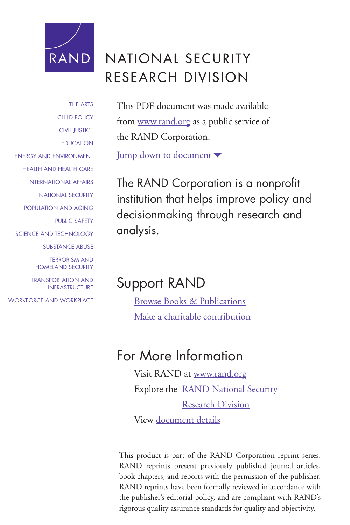

# NATIONAL SECURITY RESEARCH DIVISION

[THE ARTS](http://www.rand.org/pdfrd/research_areas/arts/) [CHILD POLICY](http://www.rand.org/pdfrd/research_areas/children/) [CIVIL JUSTICE](http://www.rand.org/pdfrd/research_areas/civil_justice/) **[EDUCATION](http://www.rand.org/pdfrd/research_areas/education/)** [ENERGY AND ENVIRONMENT](http://www.rand.org/pdfrd/research_areas/energy_environment/) [HEALTH AND HEALTH CARE](http://www.rand.org/pdfrd/research_areas/health/) [INTERNATIONAL AFFAIRS](http://www.rand.org/pdfrd/research_areas/international_affairs/) [NATIONAL SECURITY](http://www.rand.org/pdfrd/research_areas/national_security/) [POPULATION AND AGING](http://www.rand.org/pdfrd/research_areas/population/) [PUBLIC SAFETY](http://www.rand.org/pdfrd/research_areas/public_safety/) [SCIENCE AND TECHNOLOGY](http://www.rand.org/pdfrd/research_areas/science_technology/) [SUBSTANCE ABUSE](http://www.rand.org/pdfrd/research_areas/substance_abuse/) TERRORISM AND [HOMELAND SECURITY](http://www.rand.org/pdfrd/research_areas/terrorism/)

> [TRANSPORTATION AND](http://www.rand.org/pdfrd/research_areas/infrastructure/) INFRASTRUCTURE

[WORKFORCE AND WORKPLACE](http://www.rand.org/pdfrd/research_areas/workforce/)

This PDF document was made available from [www.rand.org](http://www.rand.org/pdfrd/) as a public service of the RAND Corporation.

[Jump down to document](#page-1-0)  $\blacktriangledown$ 

The RAND Corporation is a nonprofit institution that helps improve policy and decisionmaking through research and analysis.

## Support RAND

[Browse Books & Publications](http://www.rand.org/pdfrd/pubs/online/) [Make a charitable contribution](http://www.rand.org/pdfrd/giving/contribute.html)

## For More Information

Visit RAND at [www.rand.org](http://www.rand.org/pdfrd/) Explore the [RAND National Security](http://www.rand.org/pdfrd/nsrd/) Research Division View [document details](http://www.rand.org/pdfrd/pubs/reprints/RP1413/)

This product is part of the RAND Corporation reprint series. RAND reprints present previously published journal articles, book chapters, and reports with the permission of the publisher. RAND reprints have been formally reviewed in accordance with the publisher's editorial policy, and are compliant with RAND's rigorous quality assurance standards for quality and objectivity.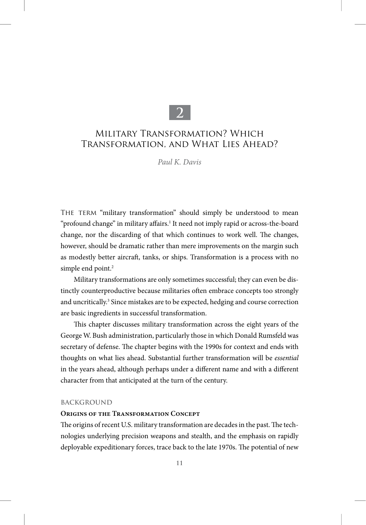## **2**

## <span id="page-1-0"></span>military Transformation? Which Transformation, and What Lies ahead?

*Paul K. Davis*

THE TERM "military transformation" should simply be understood to mean "profound change" in military affairs.<sup>1</sup> It need not imply rapid or across-the-board change, nor the discarding of that which continues to work well. The changes, however, should be dramatic rather than mere improvements on the margin such as modestly better aircraft, tanks, or ships. Transformation is a process with no simple end point.<sup>2</sup>

Military transformations are only sometimes successful; they can even be distinctly counterproductive because militaries often embrace concepts too strongly and uncritically.<sup>3</sup> Since mistakes are to be expected, hedging and course correction are basic ingredients in successful transformation.

This chapter discusses military transformation across the eight years of the George W. Bush administration, particularly those in which Donald Rumsfeld was secretary of defense. The chapter begins with the 1990s for context and ends with thoughts on what lies ahead. Substantial further transformation will be *essential*  in the years ahead, although perhaps under a different name and with a different character from that anticipated at the turn of the century.

#### **BACKGROUND**

#### **Origins of the Transformation Concept**

The origins of recent U.S. military transformation are decades in the past. The technologies underlying precision weapons and stealth, and the emphasis on rapidly deployable expeditionary forces, trace back to the late 1970s. The potential of new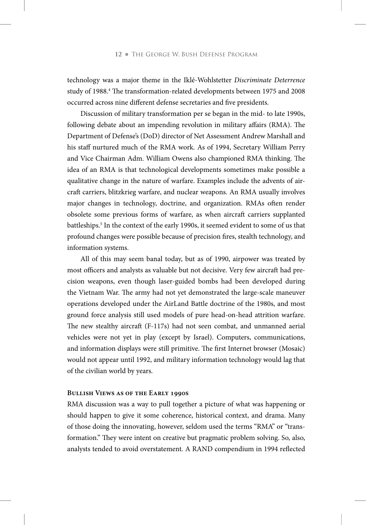technology was a major theme in the Iklé-Wohlstetter *Discriminate Deterrence*  study of 1988.<sup>4</sup> The transformation-related developments between 1975 and 2008 occurred across nine different defense secretaries and five presidents.

Discussion of military transformation per se began in the mid- to late 1990s, following debate about an impending revolution in military affairs (RMA). The Department of Defense's (DoD) director of Net Assessment Andrew Marshall and his staff nurtured much of the RMA work. As of 1994, Secretary William Perry and Vice Chairman Adm. William Owens also championed RMA thinking. The idea of an RMA is that technological developments sometimes make possible a qualitative change in the nature of warfare. Examples include the advents of aircraft carriers, blitzkrieg warfare, and nuclear weapons. An RMA usually involves major changes in technology, doctrine, and organization. RMAs often render obsolete some previous forms of warfare, as when aircraft carriers supplanted battleships.<sup>5</sup> In the context of the early 1990s, it seemed evident to some of us that profound changes were possible because of precision fires, stealth technology, and information systems.

All of this may seem banal today, but as of 1990, airpower was treated by most officers and analysts as valuable but not decisive. Very few aircraft had precision weapons, even though laser-guided bombs had been developed during the Vietnam War. The army had not yet demonstrated the large-scale maneuver operations developed under the AirLand Battle doctrine of the 1980s, and most ground force analysis still used models of pure head-on-head attrition warfare. The new stealthy aircraft (F-117s) had not seen combat, and unmanned aerial vehicles were not yet in play (except by Israel). Computers, communications, and information displays were still primitive. The first Internet browser (Mosaic) would not appear until 1992, and military information technology would lag that of the civilian world by years.

#### **Bullish Views as of the Early 1990s**

RMA discussion was a way to pull together a picture of what was happening or should happen to give it some coherence, historical context, and drama. Many of those doing the innovating, however, seldom used the terms "RMA" or "transformation." They were intent on creative but pragmatic problem solving. So, also, analysts tended to avoid overstatement. A RAND compendium in 1994 reflected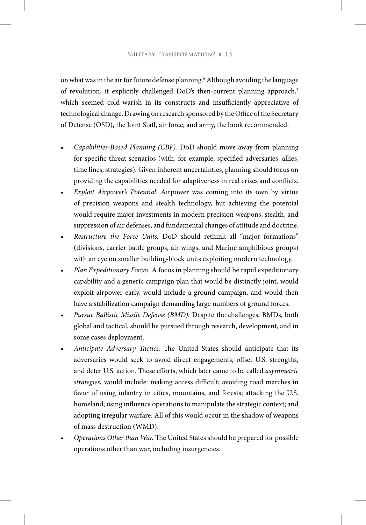on what was in the air for future defense planning.6 Although avoiding the language of revolution, it explicitly challenged DoD's then-current planning approach,<sup>7</sup> which seemed cold-warish in its constructs and insufficiently appreciative of technological change. Drawing on research sponsored by the Office of the Secretary of Defense (OSD), the Joint Staff, air force, and army, the book recommended:

- *Capabilities-Based Planning (CBP).* DoD should move away from planning for specific threat scenarios (with, for example, specified adversaries, allies, time lines, strategies)*.* Given inherent uncertainties, planning should focus on providing the capabilities needed for adaptiveness in real crises and conflicts.
- *Exploit Airpower's Potential.* Airpower was coming into its own by virtue of precision weapons and stealth technology, but achieving the potential would require major investments in modern precision weapons, stealth, and suppression of air defenses, and fundamental changes of attitude and doctrine.
- *Restructure the Force Units.* DoD should rethink all "major formations" (divisions, carrier battle groups, air wings, and Marine amphibious groups) with an eye on smaller building-block units exploiting modern technology.
- *Plan Expeditionary Forces.* A focus in planning should be rapid expeditionary capability and a generic campaign plan that would be distinctly joint, would exploit airpower early, would include a ground campaign, and would then have a stabilization campaign demanding large numbers of ground forces.
- *Pursue Ballistic Missile Defense (BMD).* Despite the challenges, BMDs, both global and tactical, should be pursued through research, development, and in some cases deployment.
- *Anticipate Adversary Tactics.* The United States should anticipate that its adversaries would seek to avoid direct engagements, offset U.S. strengths, and deter U.S. action. These efforts, which later came to be called *asymmetric strategies*, would include: making access difficult; avoiding road marches in favor of using infantry in cities, mountains, and forests; attacking the U.S. homeland; using influence operations to manipulate the strategic context; and adopting irregular warfare. All of this would occur in the shadow of weapons of mass destruction (WMD).
- *Operations Other than War.* The United States should be prepared for possible operations other than war, including insurgencies.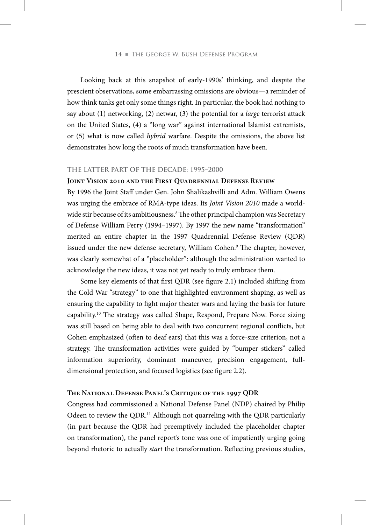Looking back at this snapshot of early-1990s' thinking, and despite the prescient observations, some embarrassing omissions are obvious—a reminder of how think tanks get only some things right. In particular, the book had nothing to say about (1) networking, (2) netwar, (3) the potential for a *large* terrorist attack on the United States, (4) a "long war" against international Islamist extremists, or (5) what is now called *hybrid* warfare. Despite the omissions, the above list demonstrates how long the roots of much transformation have been.

#### **tHe latter part oF tHe decade: 1995–2000**

#### **Joint Vision 2010 and the First Quadrennial Defense Review**

By 1996 the Joint Staff under Gen. John Shalikashvilli and Adm. William Owens was urging the embrace of RMA-type ideas. Its *Joint Vision 2010* made a worldwide stir because of its ambitiousness.<sup>8</sup> The other principal champion was Secretary of Defense William Perry (1994–1997). By 1997 the new name "transformation" merited an entire chapter in the 1997 Quadrennial Defense Review (QDR) issued under the new defense secretary, William Cohen.9 The chapter, however, was clearly somewhat of a "placeholder": although the administration wanted to acknowledge the new ideas, it was not yet ready to truly embrace them.

Some key elements of that first QDR (see figure 2.1) included shifting from the Cold War "strategy" to one that highlighted environment shaping, as well as ensuring the capability to fight major theater wars and laying the basis for future capability.10 The strategy was called Shape, Respond, Prepare Now. Force sizing was still based on being able to deal with two concurrent regional conflicts, but Cohen emphasized (often to deaf ears) that this was a force-size criterion, not a strategy. The transformation activities were guided by "bumper stickers" called information superiority, dominant maneuver, precision engagement, fulldimensional protection, and focused logistics (see figure 2.2).

#### **The National Defense Panel's Critique of the 1997 QDR**

Congress had commissioned a National Defense Panel (NDP) chaired by Philip Odeen to review the QDR.<sup>11</sup> Although not quarreling with the QDR particularly (in part because the QDR had preemptively included the placeholder chapter on transformation), the panel report's tone was one of impatiently urging going beyond rhetoric to actually *start* the transformation. Reflecting previous studies,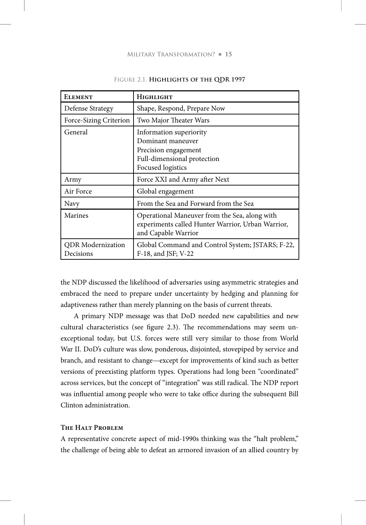| <b>ELEMENT</b>                        | HIGHLIGHT                                                                                                                 |
|---------------------------------------|---------------------------------------------------------------------------------------------------------------------------|
| Defense Strategy                      | Shape, Respond, Prepare Now                                                                                               |
| Force-Sizing Criterion                | Two Major Theater Wars                                                                                                    |
| General                               | Information superiority<br>Dominant maneuver<br>Precision engagement<br>Full-dimensional protection<br>Focused logistics  |
| Army                                  | Force XXI and Army after Next                                                                                             |
| Air Force                             | Global engagement                                                                                                         |
| Navy                                  | From the Sea and Forward from the Sea                                                                                     |
| Marines                               | Operational Maneuver from the Sea, along with<br>experiments called Hunter Warrior, Urban Warrior,<br>and Capable Warrior |
| <b>QDR</b> Modernization<br>Decisions | Global Command and Control System; JSTARS; F-22,<br>F-18, and JSF; V-22                                                   |

#### figure 2.1. **Highlights of the Qdr 1997**

the NDP discussed the likelihood of adversaries using asymmetric strategies and embraced the need to prepare under uncertainty by hedging and planning for adaptiveness rather than merely planning on the basis of current threats.

A primary NDP message was that DoD needed new capabilities and new cultural characteristics (see figure 2.3). The recommendations may seem unexceptional today, but U.S. forces were still very similar to those from World War II. DoD's culture was slow, ponderous, disjointed, stovepiped by service and branch, and resistant to change—except for improvements of kind such as better versions of preexisting platform types. Operations had long been "coordinated" across services, but the concept of "integration" was still radical. The NDP report was influential among people who were to take office during the subsequent Bill Clinton administration.

#### **The Halt Problem**

A representative concrete aspect of mid-1990s thinking was the "halt problem," the challenge of being able to defeat an armored invasion of an allied country by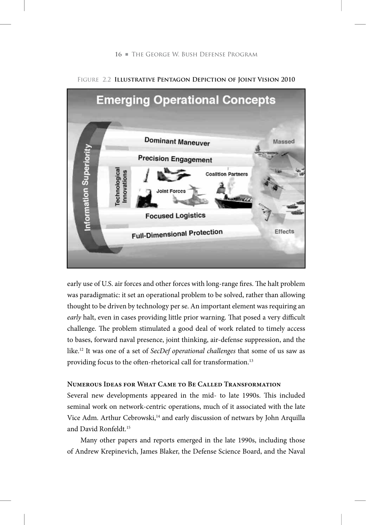

figure 2.2 **illustrative pentagon depiction of Joint Vision 2010**

early use of U.S. air forces and other forces with long-range fires. The halt problem was paradigmatic: it set an operational problem to be solved, rather than allowing thought to be driven by technology per se. An important element was requiring an *early* halt, even in cases providing little prior warning. That posed a very difficult challenge. The problem stimulated a good deal of work related to timely access to bases, forward naval presence, joint thinking, air-defense suppression, and the like.12 It was one of a set of *SecDef operational challenges* that some of us saw as providing focus to the often-rhetorical call for transformation.<sup>13</sup>

## **Numerous Ideas for What Came to Be Called Transformation**

Several new developments appeared in the mid- to late 1990s. This included seminal work on network-centric operations, much of it associated with the late Vice Adm. Arthur Cebrowski,<sup>14</sup> and early discussion of netwars by John Arquilla and David Ronfeldt.15

Many other papers and reports emerged in the late 1990s, including those of Andrew Krepinevich, James Blaker, the Defense Science Board, and the Naval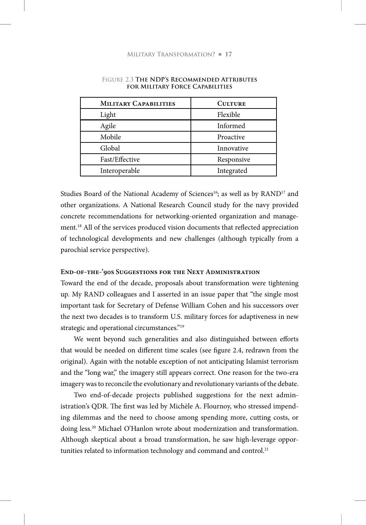| <b>MILITARY CAPABILITIES</b> | <b>CULTURE</b> |
|------------------------------|----------------|
| Light                        | Flexible       |
| Agile                        | Informed       |
| Mobile                       | Proactive      |
| Global                       | Innovative     |
| Fast/Effective               | Responsive     |
| Interoperable                | Integrated     |

#### figure 2.3 **the ndp's recommended attributes for military Force capabilities**

Studies Board of the National Academy of Sciences<sup>16</sup>; as well as by RAND<sup>17</sup> and other organizations. A National Research Council study for the navy provided concrete recommendations for networking-oriented organization and management.18 All of the services produced vision documents that reflected appreciation of technological developments and new challenges (although typically from a parochial service perspective).

#### **End-of-the-'90s Suggestions for the Next Administration**

Toward the end of the decade, proposals about transformation were tightening up. My RAND colleagues and I asserted in an issue paper that "the single most important task for Secretary of Defense William Cohen and his successors over the next two decades is to transform U.S. military forces for adaptiveness in new strategic and operational circumstances."<sup>19</sup>

We went beyond such generalities and also distinguished between efforts that would be needed on different time scales (see figure 2.4, redrawn from the original). Again with the notable exception of not anticipating Islamist terrorism and the "long war," the imagery still appears correct. One reason for the two-era imagery was to reconcile the evolutionary and revolutionary variants of the debate.

Two end-of-decade projects published suggestions for the next administration's QDR. The first was led by Michèle A. Flournoy, who stressed impending dilemmas and the need to choose among spending more, cutting costs, or doing less.20 Michael O'Hanlon wrote about modernization and transformation. Although skeptical about a broad transformation, he saw high-leverage opportunities related to information technology and command and control.<sup>21</sup>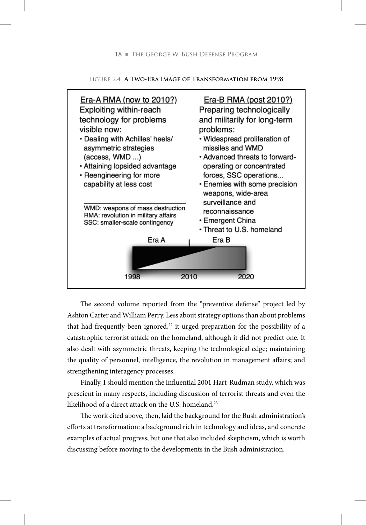



The second volume reported from the "preventive defense" project led by Ashton Carter and William Perry. Less about strategy options than about problems that had frequently been ignored, $22$  it urged preparation for the possibility of a catastrophic terrorist attack on the homeland, although it did not predict one. It also dealt with asymmetric threats, keeping the technological edge; maintaining the quality of personnel, intelligence, the revolution in management affairs; and strengthening interagency processes.

Finally, I should mention the influential 2001 Hart-Rudman study, which was prescient in many respects, including discussion of terrorist threats and even the likelihood of a direct attack on the U.S. homeland<sup>23</sup>

The work cited above, then, laid the background for the Bush administration's efforts at transformation: a background rich in technology and ideas, and concrete examples of actual progress, but one that also included skepticism, which is worth discussing before moving to the developments in the Bush administration.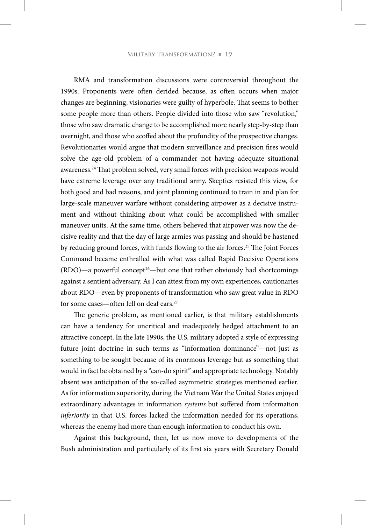RMA and transformation discussions were controversial throughout the 1990s. Proponents were often derided because, as often occurs when major changes are beginning, visionaries were guilty of hyperbole. That seems to bother some people more than others. People divided into those who saw "revolution," those who saw dramatic change to be accomplished more nearly step-by-step than overnight, and those who scoffed about the profundity of the prospective changes. Revolutionaries would argue that modern surveillance and precision fires would solve the age-old problem of a commander not having adequate situational awareness.24 That problem solved, very small forces with precision weapons would have extreme leverage over any traditional army. Skeptics resisted this view, for both good and bad reasons, and joint planning continued to train in and plan for large-scale maneuver warfare without considering airpower as a decisive instrument and without thinking about what could be accomplished with smaller maneuver units. At the same time, others believed that airpower was now the decisive reality and that the day of large armies was passing and should be hastened by reducing ground forces, with funds flowing to the air forces.<sup>25</sup> The Joint Forces Command became enthralled with what was called Rapid Decisive Operations  $(RDO)$ —a powerful concept<sup>26</sup>—but one that rather obviously had shortcomings against a sentient adversary. As I can attest from my own experiences, cautionaries about RDO—even by proponents of transformation who saw great value in RDO for some cases—often fell on deaf ears.<sup>27</sup>

The generic problem, as mentioned earlier, is that military establishments can have a tendency for uncritical and inadequately hedged attachment to an attractive concept. In the late 1990s, the U.S. military adopted a style of expressing future joint doctrine in such terms as "information dominance"—not just as something to be sought because of its enormous leverage but as something that would in fact be obtained by a "can-do spirit" and appropriate technology. Notably absent was anticipation of the so-called asymmetric strategies mentioned earlier. As for information superiority, during the Vietnam War the United States enjoyed extraordinary advantages in information *systems* but suffered from information *inferiority* in that U.S. forces lacked the information needed for its operations, whereas the enemy had more than enough information to conduct his own.

Against this background, then, let us now move to developments of the Bush administration and particularly of its first six years with Secretary Donald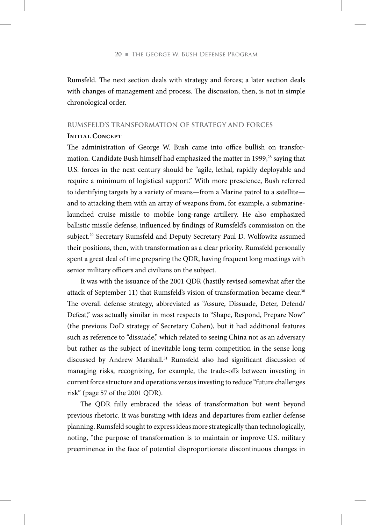Rumsfeld. The next section deals with strategy and forces; a later section deals with changes of management and process. The discussion, then, is not in simple chronological order.

#### **rumsFeld's transFormation oF strategy and Forces**

#### **Initial Concept**

The administration of George W. Bush came into office bullish on transformation. Candidate Bush himself had emphasized the matter in 1999,<sup>28</sup> saying that U.S. forces in the next century should be "agile, lethal, rapidly deployable and require a minimum of logistical support." With more prescience, Bush referred to identifying targets by a variety of means—from a Marine patrol to a satellite and to attacking them with an array of weapons from, for example, a submarinelaunched cruise missile to mobile long-range artillery. He also emphasized ballistic missile defense, influenced by findings of Rumsfeld's commission on the subject.29 Secretary Rumsfeld and Deputy Secretary Paul D. Wolfowitz assumed their positions, then, with transformation as a clear priority. Rumsfeld personally spent a great deal of time preparing the QDR, having frequent long meetings with senior military officers and civilians on the subject.

It was with the issuance of the 2001 QDR (hastily revised somewhat after the attack of September 11) that Rumsfeld's vision of transformation became clear.<sup>30</sup> The overall defense strategy, abbreviated as "Assure, Dissuade, Deter, Defend/ Defeat," was actually similar in most respects to "Shape, Respond, Prepare Now" (the previous DoD strategy of Secretary Cohen), but it had additional features such as reference to "dissuade," which related to seeing China not as an adversary but rather as the subject of inevitable long-term competition in the sense long discussed by Andrew Marshall.<sup>31</sup> Rumsfeld also had significant discussion of managing risks, recognizing, for example, the trade-offs between investing in current force structure and operations versus investing to reduce "future challenges risk" (page 57 of the 2001 QDR).

The QDR fully embraced the ideas of transformation but went beyond previous rhetoric. It was bursting with ideas and departures from earlier defense planning. Rumsfeld sought to express ideas more strategically than technologically, noting, "the purpose of transformation is to maintain or improve U.S. military preeminence in the face of potential disproportionate discontinuous changes in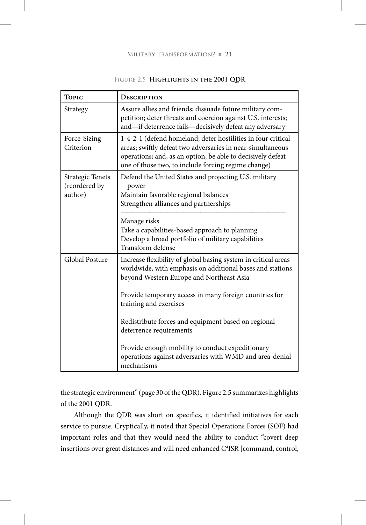|  | FIGURE 2.5 HIGHLIGHTS IN THE 2001 QDR |  |
|--|---------------------------------------|--|
|  |                                       |  |

| <b>TOPIC</b>                                        | <b>DESCRIPTION</b>                                                                                                                                                                                                                                                                                                                                                                                                                                                         |
|-----------------------------------------------------|----------------------------------------------------------------------------------------------------------------------------------------------------------------------------------------------------------------------------------------------------------------------------------------------------------------------------------------------------------------------------------------------------------------------------------------------------------------------------|
| Strategy                                            | Assure allies and friends; dissuade future military com-<br>petition; deter threats and coercion against U.S. interests;<br>and-if deterrence fails-decisively defeat any adversary                                                                                                                                                                                                                                                                                        |
| Force-Sizing<br>Criterion                           | 1-4-2-1 (defend homeland; deter hostilities in four critical<br>areas; swiftly defeat two adversaries in near-simultaneous<br>operations; and, as an option, be able to decisively defeat<br>one of those two, to include forcing regime change)                                                                                                                                                                                                                           |
| <b>Strategic Tenets</b><br>(reordered by<br>author) | Defend the United States and projecting U.S. military<br>power<br>Maintain favorable regional balances<br>Strengthen alliances and partnerships<br>Manage risks<br>Take a capabilities-based approach to planning<br>Develop a broad portfolio of military capabilities<br>Transform defense                                                                                                                                                                               |
| Global Posture                                      | Increase flexibility of global basing system in critical areas<br>worldwide, with emphasis on additional bases and stations<br>beyond Western Europe and Northeast Asia<br>Provide temporary access in many foreign countries for<br>training and exercises<br>Redistribute forces and equipment based on regional<br>deterrence requirements<br>Provide enough mobility to conduct expeditionary<br>operations against adversaries with WMD and area-denial<br>mechanisms |

the strategic environment" (page 30 of the QDR). Figure 2.5 summarizes highlights of the 2001 QDR.

Although the QDR was short on specifics, it identified initiatives for each service to pursue. Cryptically, it noted that Special Operations Forces (SOF) had important roles and that they would need the ability to conduct "covert deep insertions over great distances and will need enhanced C<sup>4</sup>ISR [command, control,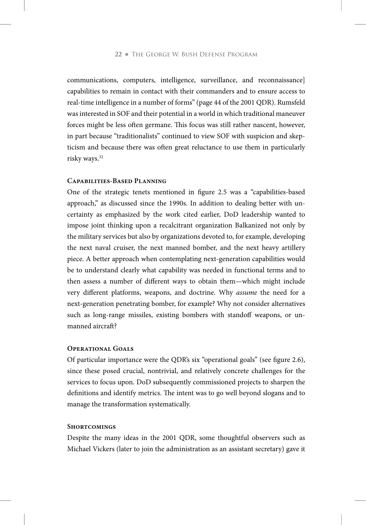communications, computers, intelligence, surveillance, and reconnaissance] capabilities to remain in contact with their commanders and to ensure access to real-time intelligence in a number of forms" (page 44 of the 2001 QDR). Rumsfeld was interested in SOF and their potential in a world in which traditional maneuver forces might be less often germane. This focus was still rather nascent, however, in part because "traditionalists" continued to view SOF with suspicion and skepticism and because there was often great reluctance to use them in particularly risky ways.<sup>32</sup>

### **Capabilities-Based Planning**

One of the strategic tenets mentioned in figure 2.5 was a "capabilities-based approach," as discussed since the 1990s. In addition to dealing better with uncertainty as emphasized by the work cited earlier, DoD leadership wanted to impose joint thinking upon a recalcitrant organization Balkanized not only by the military services but also by organizations devoted to, for example, developing the next naval cruiser, the next manned bomber, and the next heavy artillery piece. A better approach when contemplating next-generation capabilities would be to understand clearly what capability was needed in functional terms and to then assess a number of different ways to obtain them—which might include very different platforms, weapons, and doctrine. Why *assume* the need for a next-generation penetrating bomber, for example? Why not consider alternatives such as long-range missiles, existing bombers with standoff weapons, or unmanned aircraft?

#### **Operational Goals**

Of particular importance were the QDR's six "operational goals" (see figure 2.6), since these posed crucial, nontrivial, and relatively concrete challenges for the services to focus upon. DoD subsequently commissioned projects to sharpen the definitions and identify metrics. The intent was to go well beyond slogans and to manage the transformation systematically.

#### **Shortcomings**

Despite the many ideas in the 2001 QDR, some thoughtful observers such as Michael Vickers (later to join the administration as an assistant secretary) gave it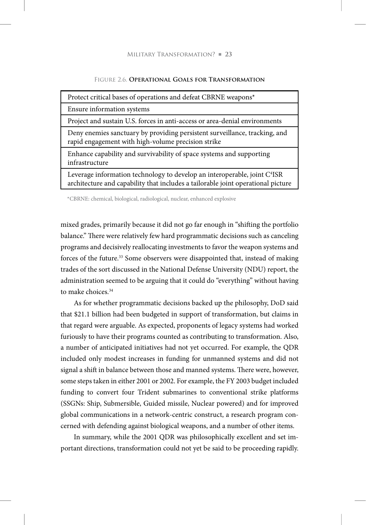#### figure 2.6. **operational goals for transformation**

| Protect critical bases of operations and defeat CBRNE weapons*                                                                                                            |  |
|---------------------------------------------------------------------------------------------------------------------------------------------------------------------------|--|
| Ensure information systems                                                                                                                                                |  |
| Project and sustain U.S. forces in anti-access or area-denial environments                                                                                                |  |
| Deny enemies sanctuary by providing persistent surveillance, tracking, and<br>rapid engagement with high-volume precision strike                                          |  |
| Enhance capability and survivability of space systems and supporting<br>infrastructure                                                                                    |  |
| Leverage information technology to develop an interoperable, joint C <sup>4</sup> ISR<br>architecture and capability that includes a tailorable joint operational picture |  |

\*CBRNE: chemical, biological, radiological, nuclear, enhanced explosive

mixed grades, primarily because it did not go far enough in "shifting the portfolio balance." There were relatively few hard programmatic decisions such as canceling programs and decisively reallocating investments to favor the weapon systems and forces of the future.<sup>33</sup> Some observers were disappointed that, instead of making trades of the sort discussed in the National Defense University (NDU) report, the administration seemed to be arguing that it could do "everything" without having to make choices.34

As for whether programmatic decisions backed up the philosophy, DoD said that \$21.1 billion had been budgeted in support of transformation, but claims in that regard were arguable. As expected, proponents of legacy systems had worked furiously to have their programs counted as contributing to transformation. Also, a number of anticipated initiatives had not yet occurred. For example, the QDR included only modest increases in funding for unmanned systems and did not signal a shift in balance between those and manned systems. There were, however, some steps taken in either 2001 or 2002. For example, the FY 2003 budget included funding to convert four Trident submarines to conventional strike platforms (SSGNs: Ship, Submersible, Guided missile, Nuclear powered) and for improved global communications in a network-centric construct, a research program concerned with defending against biological weapons, and a number of other items.

In summary, while the 2001 QDR was philosophically excellent and set important directions, transformation could not yet be said to be proceeding rapidly.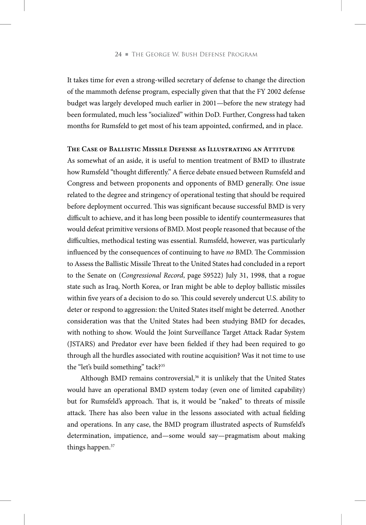It takes time for even a strong-willed secretary of defense to change the direction of the mammoth defense program, especially given that that the FY 2002 defense budget was largely developed much earlier in 2001—before the new strategy had been formulated, much less "socialized" within DoD. Further, Congress had taken months for Rumsfeld to get most of his team appointed, confirmed, and in place.

#### **The Case of Ballistic Missile Defense as Illustrating an Attitude**

As somewhat of an aside, it is useful to mention treatment of BMD to illustrate how Rumsfeld "thought differently." A fierce debate ensued between Rumsfeld and Congress and between proponents and opponents of BMD generally. One issue related to the degree and stringency of operational testing that should be required before deployment occurred. This was significant because successful BMD is very difficult to achieve, and it has long been possible to identify countermeasures that would defeat primitive versions of BMD. Most people reasoned that because of the difficulties, methodical testing was essential. Rumsfeld, however, was particularly influenced by the consequences of continuing to have *no* BMD. The Commission to Assess the Ballistic Missile Threat to the United States had concluded in a report to the Senate on (*Congressional Record*, page S9522) July 31, 1998, that a rogue state such as Iraq, North Korea, or Iran might be able to deploy ballistic missiles within five years of a decision to do so. This could severely undercut U.S. ability to deter or respond to aggression: the United States itself might be deterred. Another consideration was that the United States had been studying BMD for decades, with nothing to show. Would the Joint Surveillance Target Attack Radar System (JSTARS) and Predator ever have been fielded if they had been required to go through all the hurdles associated with routine acquisition? Was it not time to use the "let's build something" tack?<sup>35</sup>

Although BMD remains controversial,<sup>36</sup> it is unlikely that the United States would have an operational BMD system today (even one of limited capability) but for Rumsfeld's approach. That is, it would be "naked" to threats of missile attack. There has also been value in the lessons associated with actual fielding and operations. In any case, the BMD program illustrated aspects of Rumsfeld's determination, impatience, and—some would say—pragmatism about making things happen.<sup>37</sup>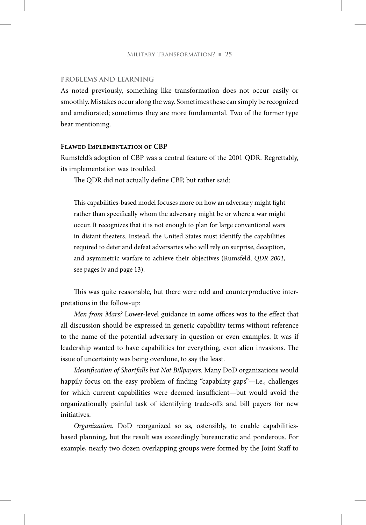#### **proBlems and learning**

As noted previously, something like transformation does not occur easily or smoothly. Mistakes occur along the way. Sometimes these can simply be recognized and ameliorated; sometimes they are more fundamental. Two of the former type bear mentioning.

#### **Flawed Implementation of CBP**

Rumsfeld's adoption of CBP was a central feature of the 2001 QDR. Regrettably, its implementation was troubled.

The QDR did not actually define CBP, but rather said:

This capabilities-based model focuses more on how an adversary might fight rather than specifically whom the adversary might be or where a war might occur. It recognizes that it is not enough to plan for large conventional wars in distant theaters. Instead, the United States must identify the capabilities required to deter and defeat adversaries who will rely on surprise, deception, and asymmetric warfare to achieve their objectives (Rumsfeld, *QDR 2001*, see pages iv and page 13).

This was quite reasonable, but there were odd and counterproductive interpretations in the follow-up:

*Men from Mars?* Lower-level guidance in some offices was to the effect that all discussion should be expressed in generic capability terms without reference to the name of the potential adversary in question or even examples. It was if leadership wanted to have capabilities for everything, even alien invasions. The issue of uncertainty was being overdone, to say the least.

*Identification of Shortfalls but not Billpayers.* Many DoD organizations would happily focus on the easy problem of finding "capability gaps"—i.e., challenges for which current capabilities were deemed insufficient—but would avoid the organizationally painful task of identifying trade-offs and bill payers for new initiatives.

*Organization.* DoD reorganized so as, ostensibly, to enable capabilitiesbased planning, but the result was exceedingly bureaucratic and ponderous. For example, nearly two dozen overlapping groups were formed by the Joint Staff to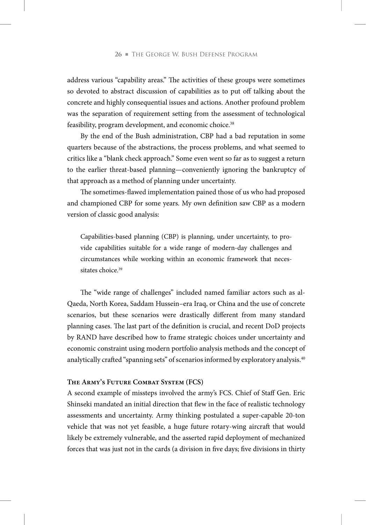address various "capability areas." The activities of these groups were sometimes so devoted to abstract discussion of capabilities as to put off talking about the concrete and highly consequential issues and actions. Another profound problem was the separation of requirement setting from the assessment of technological feasibility, program development, and economic choice.<sup>38</sup>

By the end of the Bush administration, CBP had a bad reputation in some quarters because of the abstractions, the process problems, and what seemed to critics like a "blank check approach." Some even went so far as to suggest a return to the earlier threat-based planning—conveniently ignoring the bankruptcy of that approach as a method of planning under uncertainty.

The sometimes-flawed implementation pained those of us who had proposed and championed CBP for some years. My own definition saw CBP as a modern version of classic good analysis:

Capabilities-based planning (CBP) is planning, under uncertainty, to provide capabilities suitable for a wide range of modern-day challenges and circumstances while working within an economic framework that necessitates choice.<sup>39</sup>

The "wide range of challenges" included named familiar actors such as al-Qaeda, North Korea, Saddam Hussein–era Iraq, or China and the use of concrete scenarios, but these scenarios were drastically different from many standard planning cases. The last part of the definition is crucial, and recent DoD projects by RAND have described how to frame strategic choices under uncertainty and economic constraint using modern portfolio analysis methods and the concept of analytically crafted "spanning sets" of scenarios informed by exploratory analysis.<sup>40</sup>

#### **The Army's Future Combat System (FCS)**

A second example of missteps involved the army's FCS. Chief of Staff Gen. Eric Shinseki mandated an initial direction that flew in the face of realistic technology assessments and uncertainty. Army thinking postulated a super-capable 20-ton vehicle that was not yet feasible, a huge future rotary-wing aircraft that would likely be extremely vulnerable, and the asserted rapid deployment of mechanized forces that was just not in the cards (a division in five days; five divisions in thirty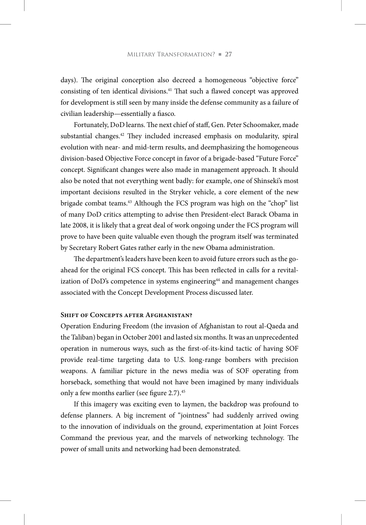days). The original conception also decreed a homogeneous "objective force" consisting of ten identical divisions.<sup>41</sup> That such a flawed concept was approved for development is still seen by many inside the defense community as a failure of civilian leadership—essentially a fiasco.

Fortunately, DoD learns. The next chief of staff, Gen. Peter Schoomaker, made substantial changes.42 They included increased emphasis on modularity, spiral evolution with near- and mid-term results, and deemphasizing the homogeneous division-based Objective Force concept in favor of a brigade-based "Future Force" concept. Significant changes were also made in management approach. It should also be noted that not everything went badly: for example, one of Shinseki's most important decisions resulted in the Stryker vehicle, a core element of the new brigade combat teams.43 Although the FCS program was high on the "chop" list of many DoD critics attempting to advise then President-elect Barack Obama in late 2008, it is likely that a great deal of work ongoing under the FCS program will prove to have been quite valuable even though the program itself was terminated by Secretary Robert Gates rather early in the new Obama administration.

The department's leaders have been keen to avoid future errors such as the goahead for the original FCS concept. This has been reflected in calls for a revitalization of DoD's competence in systems engineering<sup>44</sup> and management changes associated with the Concept Development Process discussed later.

#### **Shift of Concepts after Afghanistan?**

Operation Enduring Freedom (the invasion of Afghanistan to rout al-Qaeda and the Taliban) began in October 2001 and lasted six months. It was an unprecedented operation in numerous ways, such as the first-of-its-kind tactic of having SOF provide real-time targeting data to U.S. long-range bombers with precision weapons. A familiar picture in the news media was of SOF operating from horseback, something that would not have been imagined by many individuals only a few months earlier (see figure 2.7).<sup>45</sup>

If this imagery was exciting even to laymen, the backdrop was profound to defense planners. A big increment of "jointness" had suddenly arrived owing to the innovation of individuals on the ground, experimentation at Joint Forces Command the previous year, and the marvels of networking technology. The power of small units and networking had been demonstrated.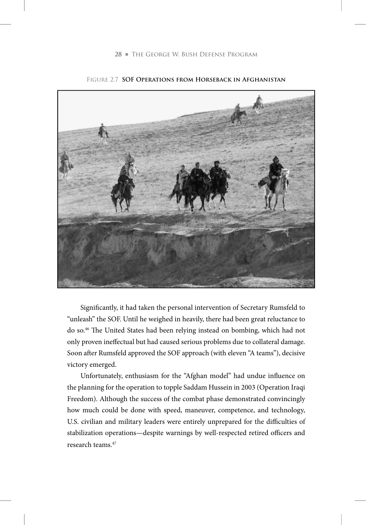

figure 2.7 **soF operations from Horseback in afghanistan**

Significantly, it had taken the personal intervention of Secretary Rumsfeld to "unleash" the SOF. Until he weighed in heavily, there had been great reluctance to do so.46 The United States had been relying instead on bombing, which had not only proven ineffectual but had caused serious problems due to collateral damage. Soon after Rumsfeld approved the SOF approach (with eleven "A teams"), decisive victory emerged.

Unfortunately, enthusiasm for the "Afghan model" had undue influence on the planning for the operation to topple Saddam Hussein in 2003 (Operation Iraqi Freedom). Although the success of the combat phase demonstrated convincingly how much could be done with speed, maneuver, competence, and technology, U.S. civilian and military leaders were entirely unprepared for the difficulties of stabilization operations—despite warnings by well-respected retired officers and research teams.47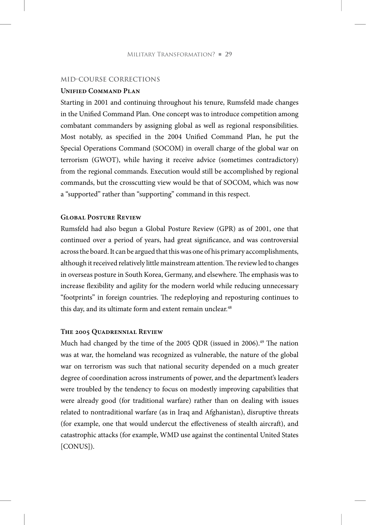#### **mid-course corrections**

#### **Unified Command Plan**

Starting in 2001 and continuing throughout his tenure, Rumsfeld made changes in the Unified Command Plan. One concept was to introduce competition among combatant commanders by assigning global as well as regional responsibilities. Most notably, as specified in the 2004 Unified Command Plan, he put the Special Operations Command (SOCOM) in overall charge of the global war on terrorism (GWOT), while having it receive advice (sometimes contradictory) from the regional commands. Execution would still be accomplished by regional commands, but the crosscutting view would be that of SOCOM, which was now a "supported" rather than "supporting" command in this respect.

#### **Global Posture Review**

Rumsfeld had also begun a Global Posture Review (GPR) as of 2001, one that continued over a period of years, had great significance, and was controversial across the board. It can be argued that this was one of his primary accomplishments, although it received relatively little mainstream attention. The review led to changes in overseas posture in South Korea, Germany, and elsewhere. The emphasis was to increase flexibility and agility for the modern world while reducing unnecessary "footprints" in foreign countries. The redeploying and reposturing continues to this day, and its ultimate form and extent remain unclear.<sup>48</sup>

#### **The 2005 Quadrennial Review**

Much had changed by the time of the 2005 QDR (issued in 2006).<sup>49</sup> The nation was at war, the homeland was recognized as vulnerable, the nature of the global war on terrorism was such that national security depended on a much greater degree of coordination across instruments of power, and the department's leaders were troubled by the tendency to focus on modestly improving capabilities that were already good (for traditional warfare) rather than on dealing with issues related to nontraditional warfare (as in Iraq and Afghanistan), disruptive threats (for example, one that would undercut the effectiveness of stealth aircraft), and catastrophic attacks (for example, WMD use against the continental United States [CONUS]).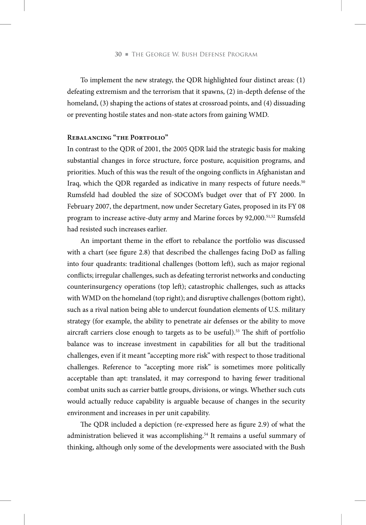To implement the new strategy, the QDR highlighted four distinct areas: (1) defeating extremism and the terrorism that it spawns, (2) in-depth defense of the homeland, (3) shaping the actions of states at crossroad points, and (4) dissuading or preventing hostile states and non-state actors from gaining WMD.

#### **Rebalancing "the Portfolio"**

In contrast to the QDR of 2001, the 2005 QDR laid the strategic basis for making substantial changes in force structure, force posture, acquisition programs, and priorities. Much of this was the result of the ongoing conflicts in Afghanistan and Iraq, which the QDR regarded as indicative in many respects of future needs.<sup>50</sup> Rumsfeld had doubled the size of SOCOM's budget over that of FY 2000. In February 2007, the department, now under Secretary Gates, proposed in its FY 08 program to increase active-duty army and Marine forces by 92,000.<sup>51,52</sup> Rumsfeld had resisted such increases earlier.

An important theme in the effort to rebalance the portfolio was discussed with a chart (see figure 2.8) that described the challenges facing DoD as falling into four quadrants: traditional challenges (bottom left), such as major regional conflicts; irregular challenges, such as defeating terrorist networks and conducting counterinsurgency operations (top left); catastrophic challenges, such as attacks with WMD on the homeland (top right); and disruptive challenges (bottom right), such as a rival nation being able to undercut foundation elements of U.S. military strategy (for example, the ability to penetrate air defenses or the ability to move aircraft carriers close enough to targets as to be useful).<sup>53</sup> The shift of portfolio balance was to increase investment in capabilities for all but the traditional challenges, even if it meant "accepting more risk" with respect to those traditional challenges. Reference to "accepting more risk" is sometimes more politically acceptable than apt: translated, it may correspond to having fewer traditional combat units such as carrier battle groups, divisions, or wings. Whether such cuts would actually reduce capability is arguable because of changes in the security environment and increases in per unit capability.

The QDR included a depiction (re-expressed here as figure 2.9) of what the administration believed it was accomplishing.<sup>54</sup> It remains a useful summary of thinking, although only some of the developments were associated with the Bush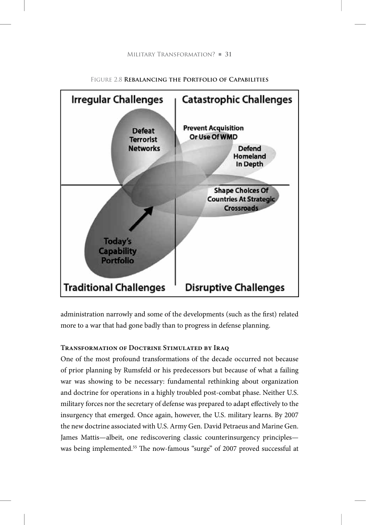



administration narrowly and some of the developments (such as the first) related more to a war that had gone badly than to progress in defense planning.

## **Transformation of Doctrine Stimulated by Iraq**

One of the most profound transformations of the decade occurred not because of prior planning by Rumsfeld or his predecessors but because of what a failing war was showing to be necessary: fundamental rethinking about organization and doctrine for operations in a highly troubled post-combat phase. Neither U.S. military forces nor the secretary of defense was prepared to adapt effectively to the insurgency that emerged. Once again, however, the U.S. military learns. By 2007 the new doctrine associated with U.S. Army Gen. David Petraeus and Marine Gen. James Mattis—albeit, one rediscovering classic counterinsurgency principles was being implemented.55 The now-famous "surge" of 2007 proved successful at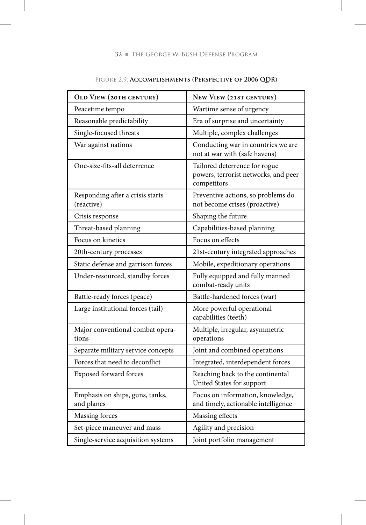| <b>OLD VIEW (20TH CENTURY)</b>                 | NEW VIEW (21ST CENTURY)                                                              |
|------------------------------------------------|--------------------------------------------------------------------------------------|
| Peacetime tempo                                | Wartime sense of urgency                                                             |
| Reasonable predictability                      | Era of surprise and uncertainty                                                      |
| Single-focused threats                         | Multiple, complex challenges                                                         |
| War against nations                            | Conducting war in countries we are<br>not at war with (safe havens)                  |
| One-size-fits-all deterrence                   | Tailored deterrence for rogue<br>powers, terrorist networks, and peer<br>competitors |
| Responding after a crisis starts<br>(reactive) | Preventive actions, so problems do<br>not become crises (proactive)                  |
| Crisis response                                | Shaping the future                                                                   |
| Threat-based planning                          | Capabilities-based planning                                                          |
| Focus on kinetics                              | Focus on effects                                                                     |
| 20th-century processes                         | 21st-century integrated approaches                                                   |
| Static defense and garrison forces             | Mobile, expeditionary operations                                                     |
| Under-resourced, standby forces                | Fully equipped and fully manned<br>combat-ready units                                |
| Battle-ready forces (peace)                    | Battle-hardened forces (war)                                                         |
| Large institutional forces (tail)              | More powerful operational<br>capabilities (teeth)                                    |
| Major conventional combat opera-<br>tions      | Multiple, irregular, asymmetric<br>operations                                        |
| Separate military service concepts             | Joint and combined operations                                                        |
| Forces that need to deconflict                 | Integrated, interdependent forces                                                    |
| <b>Exposed forward forces</b>                  | Reaching back to the continental<br>United States for support                        |
| Emphasis on ships, guns, tanks,<br>and planes  | Focus on information, knowledge,<br>and timely, actionable intelligence              |
| Massing forces                                 | Massing effects                                                                      |
| Set-piece maneuver and mass                    | Agility and precision                                                                |
| Single-service acquisition systems             | Joint portfolio management                                                           |

## FIGURE 2.9. **ACCOMPLISHMENTS (PERSPECTIVE OF 2006 QDR)**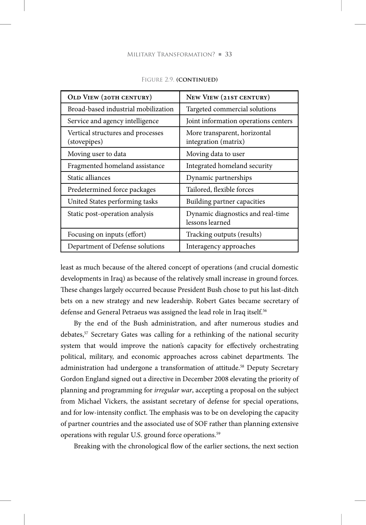| <b>OLD VIEW (20TH CENTURY)</b>                    | NEW VIEW (21ST CENTURY)                              |
|---------------------------------------------------|------------------------------------------------------|
| Broad-based industrial mobilization               | Targeted commercial solutions                        |
| Service and agency intelligence                   | Joint information operations centers                 |
| Vertical structures and processes<br>(stovepipes) | More transparent, horizontal<br>integration (matrix) |
| Moving user to data                               | Moving data to user                                  |
| Fragmented homeland assistance                    | Integrated homeland security                         |
| Static alliances                                  | Dynamic partnerships                                 |
| Predetermined force packages                      | Tailored, flexible forces                            |
| United States performing tasks                    | Building partner capacities                          |
| Static post-operation analysis                    | Dynamic diagnostics and real-time<br>lessons learned |
| Focusing on inputs (effort)                       | Tracking outputs (results)                           |
| Department of Defense solutions                   | Interagency approaches                               |

figure 2.9. **(continued)**

least as much because of the altered concept of operations (and crucial domestic developments in Iraq) as because of the relatively small increase in ground forces. These changes largely occurred because President Bush chose to put his last-ditch bets on a new strategy and new leadership. Robert Gates became secretary of defense and General Petraeus was assigned the lead role in Iraq itself.<sup>56</sup>

By the end of the Bush administration, and after numerous studies and debates,57 Secretary Gates was calling for a rethinking of the national security system that would improve the nation's capacity for effectively orchestrating political, military, and economic approaches across cabinet departments. The administration had undergone a transformation of attitude.<sup>58</sup> Deputy Secretary Gordon England signed out a directive in December 2008 elevating the priority of planning and programming for *irregular war*, accepting a proposal on the subject from Michael Vickers, the assistant secretary of defense for special operations, and for low-intensity conflict. The emphasis was to be on developing the capacity of partner countries and the associated use of SOF rather than planning extensive operations with regular U.S. ground force operations.59

Breaking with the chronological flow of the earlier sections, the next section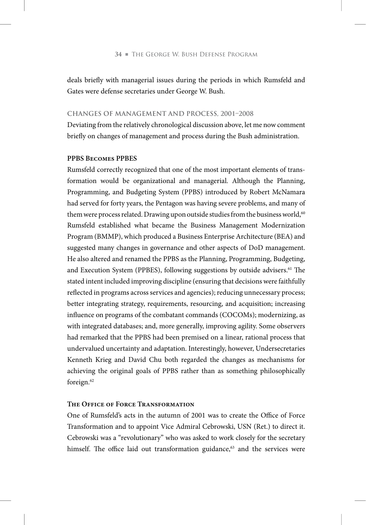deals briefly with managerial issues during the periods in which Rumsfeld and Gates were defense secretaries under George W. Bush.

## **cHanges oF management and process, 2001–2008**

Deviating from the relatively chronological discussion above, let me now comment briefly on changes of management and process during the Bush administration.

#### **PPBS Becomes PPBES**

Rumsfeld correctly recognized that one of the most important elements of transformation would be organizational and managerial. Although the Planning, Programming, and Budgeting System (PPBS) introduced by Robert McNamara had served for forty years, the Pentagon was having severe problems, and many of them were process related. Drawing upon outside studies from the business world,<sup>60</sup> Rumsfeld established what became the Business Management Modernization Program (BMMP), which produced a Business Enterprise Architecture (BEA) and suggested many changes in governance and other aspects of DoD management. He also altered and renamed the PPBS as the Planning, Programming, Budgeting, and Execution System (PPBES), following suggestions by outside advisers.<sup>61</sup> The stated intent included improving discipline (ensuring that decisions were faithfully reflected in programs across services and agencies); reducing unnecessary process; better integrating strategy, requirements, resourcing, and acquisition; increasing influence on programs of the combatant commands (COCOMs); modernizing, as with integrated databases; and, more generally, improving agility. Some observers had remarked that the PPBS had been premised on a linear, rational process that undervalued uncertainty and adaptation. Interestingly, however, Undersecretaries Kenneth Krieg and David Chu both regarded the changes as mechanisms for achieving the original goals of PPBS rather than as something philosophically foreign.<sup>62</sup>

## **The Office of Force Transformation**

One of Rumsfeld's acts in the autumn of 2001 was to create the Office of Force Transformation and to appoint Vice Admiral Cebrowski, USN (Ret.) to direct it. Cebrowski was a "revolutionary" who was asked to work closely for the secretary himself. The office laid out transformation guidance,<sup>63</sup> and the services were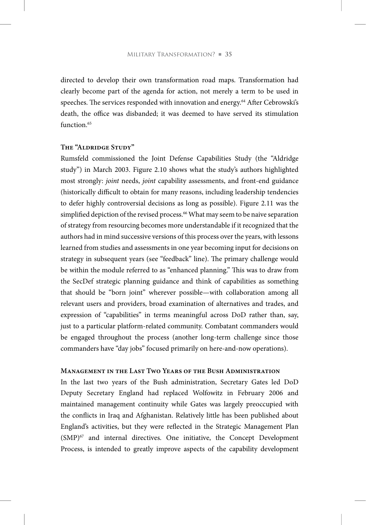directed to develop their own transformation road maps. Transformation had clearly become part of the agenda for action, not merely a term to be used in speeches. The services responded with innovation and energy.<sup>64</sup> After Cebrowski's death, the office was disbanded; it was deemed to have served its stimulation function<sup>65</sup>

#### **The "Aldridge Study"**

Rumsfeld commissioned the Joint Defense Capabilities Study (the "Aldridge study") in March 2003. Figure 2.10 shows what the study's authors highlighted most strongly: *joint* needs, *joint* capability assessments, and front-end guidance (historically difficult to obtain for many reasons, including leadership tendencies to defer highly controversial decisions as long as possible). Figure 2.11 was the simplified depiction of the revised process.<sup>66</sup> What may seem to be naive separation of strategy from resourcing becomes more understandable if it recognized that the authors had in mind successive versions of this process over the years, with lessons learned from studies and assessments in one year becoming input for decisions on strategy in subsequent years (see "feedback" line). The primary challenge would be within the module referred to as "enhanced planning." This was to draw from the SecDef strategic planning guidance and think of capabilities as something that should be "born joint" wherever possible—with collaboration among all relevant users and providers, broad examination of alternatives and trades, and expression of "capabilities" in terms meaningful across DoD rather than, say, just to a particular platform-related community. Combatant commanders would be engaged throughout the process (another long-term challenge since those commanders have "day jobs" focused primarily on here-and-now operations).

## **Management in the Last Two Years of the Bush Administration**

In the last two years of the Bush administration, Secretary Gates led DoD Deputy Secretary England had replaced Wolfowitz in February 2006 and maintained management continuity while Gates was largely preoccupied with the conflicts in Iraq and Afghanistan. Relatively little has been published about England's activities, but they were reflected in the Strategic Management Plan (SMP)67 and internal directives. One initiative, the Concept Development Process, is intended to greatly improve aspects of the capability development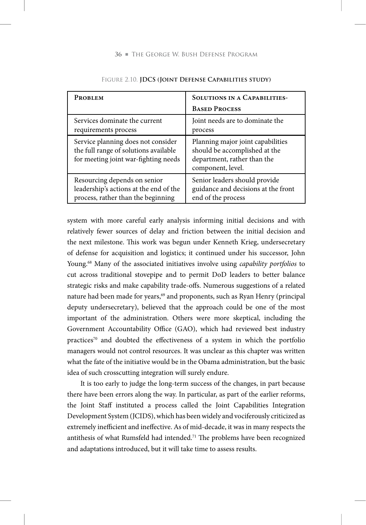| <b>PROBLEM</b>                                                                                                      | <b>SOLUTIONS IN A CAPABILITIES-</b><br><b>BASED PROCESS</b>                                                            |
|---------------------------------------------------------------------------------------------------------------------|------------------------------------------------------------------------------------------------------------------------|
| Services dominate the current                                                                                       | Joint needs are to dominate the                                                                                        |
| requirements process                                                                                                | process                                                                                                                |
| Service planning does not consider<br>the full range of solutions available<br>for meeting joint war-fighting needs | Planning major joint capabilities<br>should be accomplished at the<br>department, rather than the<br>component, level. |
| Resourcing depends on senior                                                                                        | Senior leaders should provide                                                                                          |
| leadership's actions at the end of the                                                                              | guidance and decisions at the front                                                                                    |
| process, rather than the beginning                                                                                  | end of the process                                                                                                     |

#### figure 2.10. **Jdcs (Joint defense capabilities study)**

system with more careful early analysis informing initial decisions and with relatively fewer sources of delay and friction between the initial decision and the next milestone. This work was begun under Kenneth Krieg, undersecretary of defense for acquisition and logistics; it continued under his successor, John Young.68 Many of the associated initiatives involve using *capability portfolios* to cut across traditional stovepipe and to permit DoD leaders to better balance strategic risks and make capability trade-offs. Numerous suggestions of a related nature had been made for years,<sup>69</sup> and proponents, such as Ryan Henry (principal deputy undersecretary), believed that the approach could be one of the most important of the administration. Others were more skeptical, including the Government Accountability Office (GAO), which had reviewed best industry practices<sup>70</sup> and doubted the effectiveness of a system in which the portfolio managers would not control resources. It was unclear as this chapter was written what the fate of the initiative would be in the Obama administration, but the basic idea of such crosscutting integration will surely endure.

It is too early to judge the long-term success of the changes, in part because there have been errors along the way. In particular, as part of the earlier reforms, the Joint Staff instituted a process called the Joint Capabilities Integration Development System (JCIDS), which has been widely and vociferously criticized as extremely inefficient and ineffective. As of mid-decade, it was in many respects the antithesis of what Rumsfeld had intended.<sup>71</sup> The problems have been recognized and adaptations introduced, but it will take time to assess results.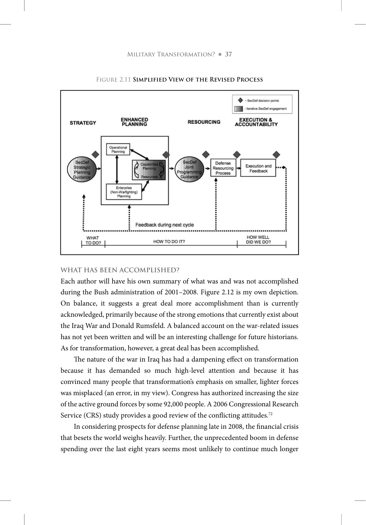

figure 2.11 **simplified View of the revised process**

#### **WHat Has Been accomplisHed?**

Each author will have his own summary of what was and was not accomplished during the Bush administration of 2001–2008. Figure 2.12 is my own depiction. On balance, it suggests a great deal more accomplishment than is currently acknowledged, primarily because of the strong emotions that currently exist about the Iraq War and Donald Rumsfeld. A balanced account on the war-related issues has not yet been written and will be an interesting challenge for future historians. As for transformation, however, a great deal has been accomplished.

The nature of the war in Iraq has had a dampening effect on transformation because it has demanded so much high-level attention and because it has convinced many people that transformation's emphasis on smaller, lighter forces was misplaced (an error, in my view). Congress has authorized increasing the size of the active ground forces by some 92,000 people. A 2006 Congressional Research Service (CRS) study provides a good review of the conflicting attitudes.<sup>72</sup>

In considering prospects for defense planning late in 2008, the financial crisis that besets the world weighs heavily. Further, the unprecedented boom in defense spending over the last eight years seems most unlikely to continue much longer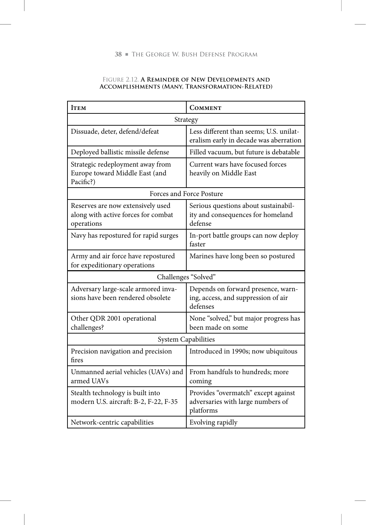#### figure 2.12. **a reminder of new developments and accomplishments (many, transformation-related)**

| <b>ITEM</b>                                                                            | <b>COMMENT</b>                                                                        |  |
|----------------------------------------------------------------------------------------|---------------------------------------------------------------------------------------|--|
| Strategy                                                                               |                                                                                       |  |
| Dissuade, deter, defend/defeat                                                         | Less different than seems; U.S. unilat-<br>eralism early in decade was aberration     |  |
| Deployed ballistic missile defense                                                     | Filled vacuum, but future is debatable                                                |  |
| Strategic redeployment away from<br>Europe toward Middle East (and<br>Pacific?)        | Current wars have focused forces<br>heavily on Middle East                            |  |
|                                                                                        | Forces and Force Posture                                                              |  |
| Reserves are now extensively used<br>along with active forces for combat<br>operations | Serious questions about sustainabil-<br>ity and consequences for homeland<br>defense  |  |
| Navy has repostured for rapid surges                                                   | In-port battle groups can now deploy<br>faster                                        |  |
| Army and air force have repostured<br>for expeditionary operations                     | Marines have long been so postured                                                    |  |
| Challenges "Solved"                                                                    |                                                                                       |  |
| Adversary large-scale armored inva-<br>sions have been rendered obsolete               | Depends on forward presence, warn-<br>ing, access, and suppression of air<br>defenses |  |
| Other QDR 2001 operational<br>challenges?                                              | None "solved," but major progress has<br>been made on some                            |  |
| <b>System Capabilities</b>                                                             |                                                                                       |  |
| Precision navigation and precision<br>fires                                            | Introduced in 1990s; now ubiquitous                                                   |  |
| Unmanned aerial vehicles (UAVs) and<br>armed UAVs                                      | From handfuls to hundreds; more<br>coming                                             |  |
| Stealth technology is built into<br>modern U.S. aircraft: B-2, F-22, F-35              | Provides "overmatch" except against<br>adversaries with large numbers of<br>platforms |  |
| Network-centric capabilities                                                           | Evolving rapidly                                                                      |  |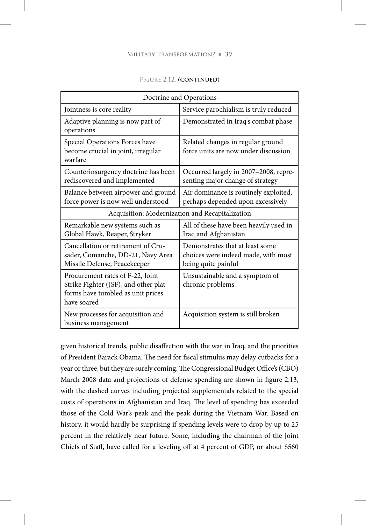| Doctrine and Operations                                                                                                       |                                                                                               |  |
|-------------------------------------------------------------------------------------------------------------------------------|-----------------------------------------------------------------------------------------------|--|
| Jointness is core reality                                                                                                     | Service parochialism is truly reduced                                                         |  |
| Adaptive planning is now part of<br>operations                                                                                | Demonstrated in Iraq's combat phase                                                           |  |
| Special Operations Forces have<br>become crucial in joint, irregular<br>warfare                                               | Related changes in regular ground<br>force units are now under discussion                     |  |
| Counterinsurgency doctrine has been<br>rediscovered and implemented                                                           | Occurred largely in 2007-2008, repre-<br>senting major change of strategy                     |  |
| Balance between airpower and ground<br>force power is now well understood                                                     | Air dominance is routinely exploited,<br>perhaps depended upon excessively                    |  |
| Acquisition: Modernization and Recapitalization                                                                               |                                                                                               |  |
| Remarkable new systems such as<br>Global Hawk, Reaper, Stryker                                                                | All of these have been heavily used in<br>Iraq and Afghanistan                                |  |
| Cancellation or retirement of Cru-<br>sader, Comanche, DD-21, Navy Area<br>Missile Defense, Peacekeeper                       | Demonstrates that at least some<br>choices were indeed made, with most<br>being quite painful |  |
| Procurement rates of F-22, Joint<br>Strike Fighter (JSF), and other plat-<br>forms have tumbled as unit prices<br>have soared | Unsustainable and a symptom of<br>chronic problems                                            |  |
| New processes for acquisition and<br>business management                                                                      | Acquisition system is still broken                                                            |  |

figure 2.12. **(continued)**

given historical trends, public disaffection with the war in Iraq, and the priorities of President Barack Obama. The need for fiscal stimulus may delay cutbacks for a year or three, but they are surely coming. The Congressional Budget Office's (CBO) March 2008 data and projections of defense spending are shown in figure 2.13, with the dashed curves including projected supplementals related to the special costs of operations in Afghanistan and Iraq. The level of spending has exceeded those of the Cold War's peak and the peak during the Vietnam War. Based on history, it would hardly be surprising if spending levels were to drop by up to 25 percent in the relatively near future. Some, including the chairman of the Joint Chiefs of Staff, have called for a leveling off at 4 percent of GDP, or about \$560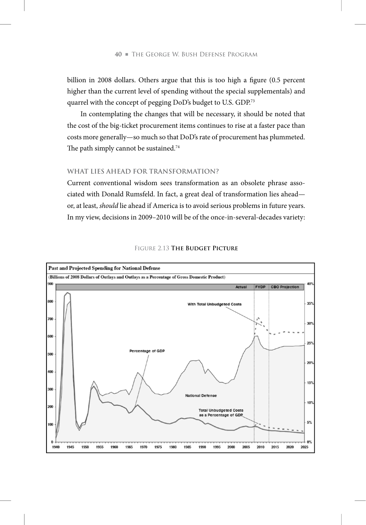billion in 2008 dollars. Others argue that this is too high a figure (0.5 percent higher than the current level of spending without the special supplementals) and quarrel with the concept of pegging DoD's budget to U.S. GDP.<sup>73</sup>

In contemplating the changes that will be necessary, it should be noted that the cost of the big-ticket procurement items continues to rise at a faster pace than costs more generally—so much so that DoD's rate of procurement has plummeted. The path simply cannot be sustained.<sup>74</sup>

## **WHat lies aHead For transFormation?**

Current conventional wisdom sees transformation as an obsolete phrase associated with Donald Rumsfeld. In fact, a great deal of transformation lies ahead or, at least, *should* lie ahead if America is to avoid serious problems in future years. In my view, decisions in 2009–2010 will be of the once-in-several-decades variety:



#### figure 2.13 **the Budget picture**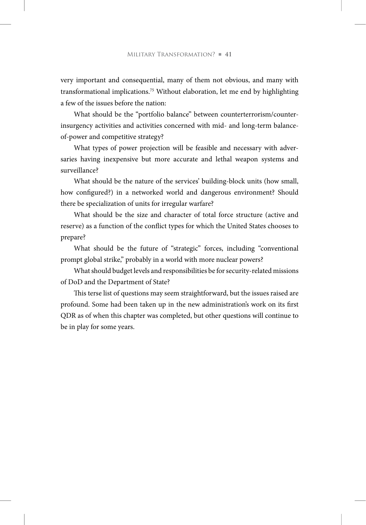very important and consequential, many of them not obvious, and many with transformational implications.75 Without elaboration, let me end by highlighting a few of the issues before the nation:

What should be the "portfolio balance" between counterterrorism/counterinsurgency activities and activities concerned with mid- and long-term balanceof-power and competitive strategy?

What types of power projection will be feasible and necessary with adversaries having inexpensive but more accurate and lethal weapon systems and surveillance?

What should be the nature of the services' building-block units (how small, how configured?) in a networked world and dangerous environment? Should there be specialization of units for irregular warfare?

What should be the size and character of total force structure (active and reserve) as a function of the conflict types for which the United States chooses to prepare?

What should be the future of "strategic" forces, including "conventional prompt global strike," probably in a world with more nuclear powers?

What should budget levels and responsibilities be for security-related missions of DoD and the Department of State?

This terse list of questions may seem straightforward, but the issues raised are profound. Some had been taken up in the new administration's work on its first QDR as of when this chapter was completed, but other questions will continue to be in play for some years.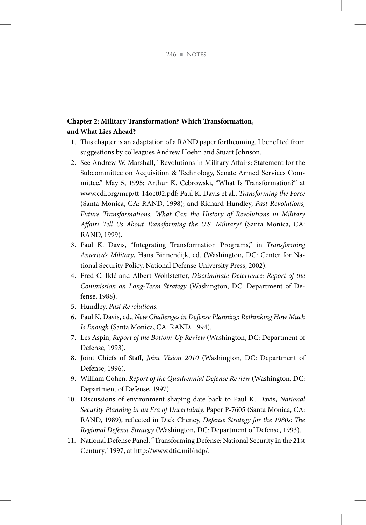## **Chapter 2: Military Transformation? Which Transformation, and What Lies Ahead?**

- 1. This chapter is an adaptation of a RAND paper forthcoming. I benefited from suggestions by colleagues Andrew Hoehn and Stuart Johnson.
- 2. See Andrew W. Marshall, "Revolutions in Military Affairs: Statement for the Subcommittee on Acquisition & Technology, Senate Armed Services Committee," May 5, 1995; Arthur K. Cebrowski, "What Is Transformation?" at [www.cdi.org/mrp/tt-14oct02.pdf;](http://www.cdi.org/mrp/tt-14oct02.pdf) Paul K. Davis et al., *Transforming the Force*  (Santa Monica, CA: RAND, 1998); and Richard Hundley, *Past Revolutions, Future Transformations: What Can the History of Revolutions in Military Affairs Tell Us About Transforming the U.S. Military?* (Santa Monica, CA: RAND, 1999).
- 3. Paul K. Davis, "Integrating Transformation Programs," in *Transforming America's Military*, Hans Binnendijk, ed. (Washington, DC: Center for National Security Policy, National Defense University Press, 2002).
- 4. Fred C. Iklé and Albert Wohlstetter, *Discriminate Deterrence: Report of the Commission on Long-Term Strategy* (Washington, DC: Department of Defense, 1988).
- 5. Hundley, *Past Revolutions*.
- 6. Paul K. Davis, ed., *new Challenges in Defense Planning: Rethinking How Much Is Enough* (Santa Monica, CA: RAND, 1994).
- 7. Les Aspin, *Report of the Bottom-Up Review* (Washington, DC: Department of Defense, 1993).
- 8. Joint Chiefs of Staff, *Joint Vision 2010* (Washington, DC: Department of Defense, 1996).
- 9. William Cohen, *Report of the Quadrennial Defense Review* (Washington, DC: Department of Defense, 1997).
- 10. Discussions of environment shaping date back to Paul K. Davis, *national Security Planning in an Era of Uncertainty,* Paper P-7605 (Santa Monica, CA: RAND, 1989), reflected in Dick Cheney, *Defense Strategy for the 1980s: The Regional Defense Strategy* (Washington, DC: Department of Defense, 1993).
- 11. National Defense Panel, "Transforming Defense: National Security in the 21st Century," 1997, at [http://www.dtic.mil/ndp/.](http://www.dtic.mil/ndp/)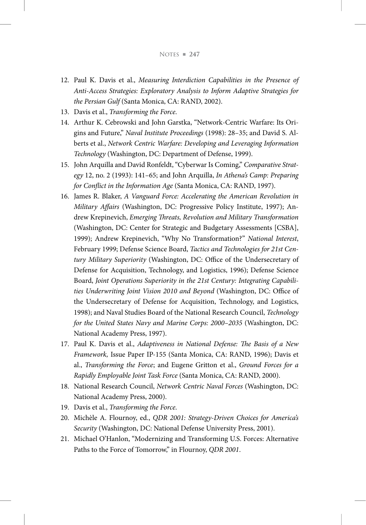- 12. Paul K. Davis et al., *Measuring Interdiction Capabilities in the Presence of Anti-Access Strategies: Exploratory Analysis to Inform Adaptive Strategies for the Persian Gulf* (Santa Monica, CA: RAND, 2002).
- 13. Davis et al., *Transforming the Force*.
- 14. Arthur K. Cebrowski and John Garstka, "Network-Centric Warfare: Its Origins and Future," *naval Institute Proceedings* (1998): 28–35; and David S. Alberts et al., *network Centric Warfare: Developing and Leveraging Information Technology* (Washington, DC: Department of Defense, 1999).
- 15. John Arquilla and David Ronfeldt, "Cyberwar Is Coming," *Comparative Strategy* 12, no. 2 (1993): 141–65; and John Arquilla, *In Athena's Camp: Preparing for Conflict in the Information Age* (Santa Monica, CA: RAND, 1997).
- 16. James R. Blaker, *A Vanguard Force: Accelerating the American Revolution in Military Affairs* (Washington, DC: Progressive Policy Institute, 1997); Andrew Krepinevich, *Emerging Threats, Revolution and Military Transformation*  (Washington, DC: Center for Strategic and Budgetary Assessments [CSBA], 1999); Andrew Krepinevich, "Why No Transformation?" *national Interest*, February 1999; Defense Science Board, *Tactics and Technologies for 21st Century Military Superiority* (Washington, DC: Office of the Undersecretary of Defense for Acquisition, Technology, and Logistics, 1996); Defense Science Board, *Joint Operations Superiority in the 21st Century: Integrating Capabilities Underwriting Joint Vision 2010 and Beyond* (Washington, DC: Office of the Undersecretary of Defense for Acquisition, Technology, and Logistics, 1998); and Naval Studies Board of the National Research Council, *Technology for the United States navy and Marine Corps: 2000–2035* (Washington, DC: National Academy Press, 1997).
- 17. Paul K. Davis et al., *Adaptiveness in national Defense: The Basis of a new Framework,* Issue Paper IP-155 (Santa Monica, CA: RAND, 1996); Davis et al., *Transforming the Force*; and Eugene Gritton et al., *Ground Forces for a Rapidly Employable Joint Task Force* (Santa Monica, CA: RAND, 2000).
- 18. National Research Council, *network Centric naval Forces* (Washington, DC: National Academy Press, 2000).
- 19. Davis et al., *Transforming the Force*.
- 20. Michèle A. Flournoy, ed., *QDR 2001: Strategy-Driven Choices for America's Security* (Washington, DC: National Defense University Press, 2001).
- 21. Michael O'Hanlon, "Modernizing and Transforming U.S. Forces: Alternative Paths to the Force of Tomorrow," in Flournoy, *QDR 2001*.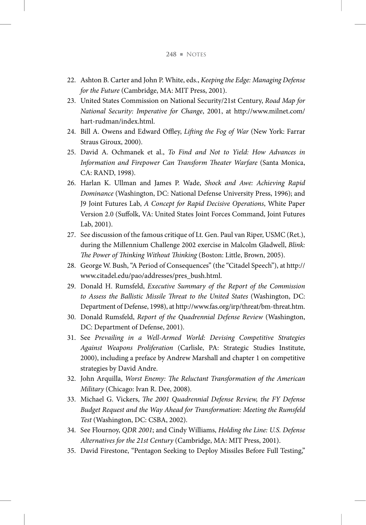- 22. Ashton B. Carter and John P. White, eds., *Keeping the Edge: Managing Defense for the Future* (Cambridge, MA: MIT Press, 2001).
- 23. United States Commission on National Security/21st Century, *Road Map for national Security: Imperative for Change*, 2001, at [http://www.milnet.com/](http://www.milnet.com/hart-rudman/index.html) [hart-rudman/index.html.](http://www.milnet.com/hart-rudman/index.html)
- 24. Bill A. Owens and Edward Offley, *Lifting the Fog of War* (New York: Farrar Straus Giroux, 2000).
- 25. David A. Ochmanek et al., *To Find and not to Yield: How Advances in Information and Firepower Can Transform Theater Warfare* (Santa Monica, CA: RAND, 1998).
- 26. Harlan K. Ullman and James P. Wade, *Shock and Awe: Achieving Rapid Dominance* (Washington, DC: National Defense University Press, 1996); and J9 Joint Futures Lab, *A Concept for Rapid Decisive Operations*, White Paper Version 2.0 (Suffolk, VA: United States Joint Forces Command, Joint Futures Lab, 2001).
- 27. See discussion of the famous critique of Lt. Gen. Paul van Riper, USMC (Ret.), during the Millennium Challenge 2002 exercise in Malcolm Gladwell, *Blink: The Power of Thinking Without Thinking* (Boston: Little, Brown, 2005).
- 28. George W. Bush, "A Period of Consequences" (the "Citadel Speech"), at [http://](http://www.citadel.edu/pao/addresses/pres_bush.html) [www.citadel.edu/pao/addresses/pres\\_bush.html.](http://www.citadel.edu/pao/addresses/pres_bush.html)
- 29. Donald H. Rumsfeld, *Executive Summary of the Report of the Commission to Assess the Ballistic Missile Threat to the United States* (Washington, DC: Department of Defense, 1998), at [http://www.fas.org/irp/threat/bm-threat.htm.](http://www.fas.org/irp/threat/bm-threat.htm)
- 30. Donald Rumsfeld, *Report of the Quadrennial Defense Review* (Washington, DC: Department of Defense, 2001).
- 31. See *Prevailing in a Well-Armed World: Devising Competitive Strategies Against Weapons Proliferation* (Carlisle, PA: Strategic Studies Institute, 2000), including a preface by Andrew Marshall and chapter 1 on competitive strategies by David Andre.
- 32. John Arquilla, *Worst Enemy: The Reluctant Transformation of the American Military* (Chicago: Ivan R. Dee, 2008).
- 33. Michael G. Vickers, *The 2001 Quadrennial Defense Review, the FY Defense Budget Request and the Way Ahead for Transformation: Meeting the Rumsfeld Test* (Washington, DC: CSBA, 2002).
- 34. See Flournoy, *QDR 2001*; and Cindy Williams, *Holding the Line: U.S. Defense Alternatives for the 21st Century* (Cambridge, MA: MIT Press, 2001).
- 35. David Firestone, "Pentagon Seeking to Deploy Missiles Before Full Testing,"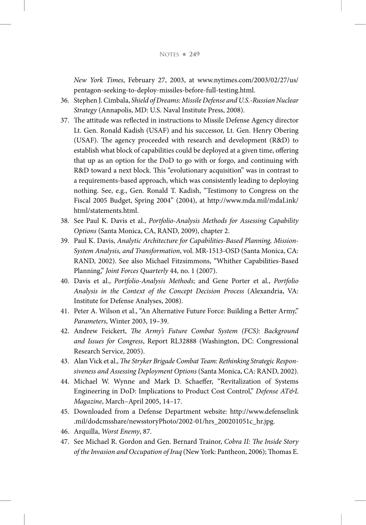*new York Times*, February 27, 2003, at [www.nytimes.com/2003/02/27/us/](http://www.nytimes.com/2003/02/27/us/pentagon-seeking-to-deploy-missiles-before-full-testing.html) [pentagon-seeking-to-deploy-missiles-before-full-testing.html.](http://www.nytimes.com/2003/02/27/us/pentagon-seeking-to-deploy-missiles-before-full-testing.html)

- 36. Stephen J. Cimbala, *Shield of Dreams: Missile Defense and U.S.-Russian nuclear Strategy* (Annapolis, MD: U.S. Naval Institute Press, 2008).
- 37. The attitude was reflected in instructions to Missile Defense Agency director Lt. Gen. Ronald Kadish (USAF) and his successor, Lt. Gen. Henry Obering (USAF). The agency proceeded with research and development (R&D) to establish what block of capabilities could be deployed at a given time, offering that up as an option for the DoD to go with or forgo, and continuing with R&D toward a next block. This "evolutionary acquisition" was in contrast to a requirements-based approach, which was consistently leading to deploying nothing. See, e.g., Gen. Ronald T. Kadish, "Testimony to Congress on the Fiscal 2005 Budget, Spring 2004" (2004), at [http://www.mda.mil/mdaLink/](http://www.mda.mil/mdaLink/html/statements.html) [html/statements.html.](http://www.mda.mil/mdaLink/html/statements.html)
- 38. See Paul K. Davis et al., *Portfolio-Analysis Methods for Assessing Capability Options* (Santa Monica, CA, RAND, 2009), chapter 2.
- 39. Paul K. Davis, *Analytic Architecture for Capabilities-Based Planning, Mission-System Analysis, and Transformation*, vol. MR-1513-OSD (Santa Monica, CA: RAND, 2002). See also Michael Fitzsimmons, "Whither Capabilities-Based Planning," *Joint Forces Quarterly* 44, no. 1 (2007).
- 40. Davis et al., *Portfolio-Analysis Methods*; and Gene Porter et al., *Portfolio Analysis in the Context of the Concept Decision Process* (Alexandria, VA: Institute for Defense Analyses, 2008).
- 41. Peter A. Wilson et al., "An Alternative Future Force: Building a Better Army," *Parameters*, Winter 2003, 19–39.
- 42. Andrew Feickert, *The Army's Future Combat System (FCS): Background and Issues for Congress*, Report RL32888 (Washington, DC: Congressional Research Service, 2005).
- 43. Alan Vick et al., *The Stryker Brigade Combat Team: Rethinking Strategic Responsiveness and Assessing Deployment Options* (Santa Monica, CA: RAND, 2002).
- 44. Michael W. Wynne and Mark D. Schaeffer, "Revitalization of Systems Engineering in DoD: Implications to Product Cost Control," *Defense AT&L Magazine*, March–April 2005, 14–17.
- 45. Downloaded from a Defense Department website: [http://www.defenselink](http://www.defenselink.mil/dodcmsshare/newsstoryPhoto/2002-01/hrs_200201051c_hr.jpg)  [.mil/dodcmsshare/newsstoryPhoto/2002-01/hrs\\_200201051c\\_hr.jpg.](http://www.defenselink.mil/dodcmsshare/newsstoryPhoto/2002-01/hrs_200201051c_hr.jpg)
- 46. Arquilla, *Worst Enemy*, 87.
- 47. See Michael R. Gordon and Gen. Bernard Trainor, *Cobra II: The Inside Story of the Invasion and Occupation of Iraq* (New York: Pantheon, 2006); Thomas E.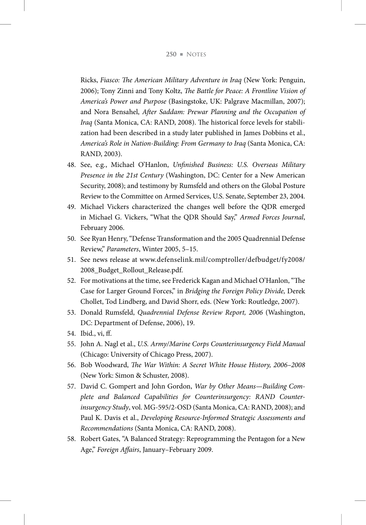Ricks, *Fiasco: The American Military Adventure in Iraq* (New York: Penguin, 2006); Tony Zinni and Tony Koltz, *The Battle for Peace: A Frontline Vision of America's Power and Purpose* (Basingstoke, UK: Palgrave Macmillan, 2007); and Nora Bensahel, *After Saddam: Prewar Planning and the Occupation of Iraq* (Santa Monica, CA: RAND, 2008). The historical force levels for stabilization had been described in a study later published in James Dobbins et al., *America's Role in nation-Building: From Germany to Iraq* (Santa Monica, CA: RAND, 2003).

- 48. See, e.g., Michael O'Hanlon, *Unfinished Business: U.S. Overseas Military Presence in the 21st Century* (Washington, DC: Center for a New American Security, 2008); and testimony by Rumsfeld and others on the Global Posture Review to the Committee on Armed Services, U.S. Senate, September 23, 2004.
- 49. Michael Vickers characterized the changes well before the QDR emerged in Michael G. Vickers, "What the QDR Should Say," *Armed Forces Journal*, February 2006.
- 50. See Ryan Henry, "Defense Transformation and the 2005 Quadrennial Defense Review," *Parameters*, Winter 2005, 5–15.
- 51. See news release at [www.defenselink.mil/comptroller/defbudget/fy2008/](http://www.defenselink.mil/comptroller/defbudget/fy2008/2008_Budget_Rollout_Release.pdf)  [2008\\_Budget\\_Rollout\\_Release.pdf.](http://www.defenselink.mil/comptroller/defbudget/fy2008/2008_Budget_Rollout_Release.pdf)
- 52. For motivations at the time, see Frederick Kagan and Michael O'Hanlon, "The Case for Larger Ground Forces," in *Bridging the Foreign Policy Divide,* Derek Chollet, Tod Lindberg, and David Shorr, eds. (New York: Routledge, 2007).
- 53. Donald Rumsfeld, *Quadrennial Defense Review Report, 2006* (Washington, DC: Department of Defense, 2006), 19.
- 54. Ibid., vi, ff.
- 55. John A. Nagl et al., *U.S. Army/Marine Corps Counterinsurgency Field Manual*  (Chicago: University of Chicago Press, 2007).
- 56. Bob Woodward, *The War Within: A Secret White House History, 2006–2008*  (New York: Simon & Schuster, 2008).
- 57. David C. Gompert and John Gordon, *War by Other Means—Building Complete and Balanced Capabilities for Counterinsurgency: RAnD Counterinsurgency Study*, vol. MG-595/2-OSD (Santa Monica, CA: RAND, 2008); and Paul K. Davis et al., *Developing Resource-Informed Strategic Assessments and Recommendations* (Santa Monica, CA: RAND, 2008).
- 58. Robert Gates, "A Balanced Strategy: Reprogramming the Pentagon for a New Age," *Foreign Affairs*, January–February 2009.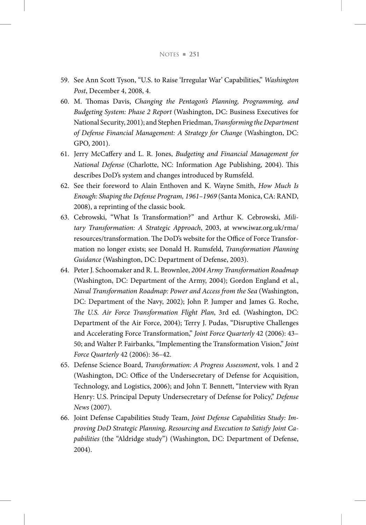- 59. See Ann Scott Tyson, "U.S. to Raise 'Irregular War' Capabilities," *Washington Post*, December 4, 2008, 4.
- 60. M. Thomas Davis, *Changing the Pentagon's Planning, Programming, and Budgeting System: Phase 2 Report* (Washington, DC: Business Executives for National Security, 2001); and Stephen Friedman, *Transforming the Department of Defense Financial Management: A Strategy for Change* (Washington, DC: GPO, 2001).
- 61. Jerry McCaffery and L. R. Jones, *Budgeting and Financial Management for national Defense* (Charlotte, NC: Information Age Publishing, 2004). This describes DoD's system and changes introduced by Rumsfeld.
- 62. See their foreword to Alain Enthoven and K. Wayne Smith, *How Much Is Enough: Shaping the Defense Program, 1961–1969* (Santa Monica, CA: RAND, 2008), a reprinting of the classic book.
- 63. Cebrowski, "What Is Transformation?" and Arthur K. Cebrowski, *Military Transformation: A Strategic Approach*, 2003, at [www.iwar.org.uk/rma/](http://www.iwar.org.uk/rma/resources/transformation) [resources/transformation.](http://www.iwar.org.uk/rma/resources/transformation) The DoD's website for the Office of Force Transformation no longer exists; see Donald H. Rumsfeld, *Transformation Planning Guidance* (Washington, DC: Department of Defense, 2003).
- 64. Peter J. Schoomaker and R. L. Brownlee, *2004 Army Transformation Roadmap*  (Washington, DC: Department of the Army, 2004); Gordon England et al., *naval Transformation Roadmap: Power and Access from the Sea* (Washington, DC: Department of the Navy, 2002); John P. Jumper and James G. Roche, *The U.S. Air Force Transformation Flight Plan*, 3rd ed. (Washington, DC: Department of the Air Force, 2004); Terry J. Pudas, "Disruptive Challenges and Accelerating Force Transformation," *Joint Force Quarterly* 42 (2006): 43– 50; and Walter P. Fairbanks, "Implementing the Transformation Vision," *Joint Force Quarterly* 42 (2006): 36–42.
- 65. Defense Science Board, *Transformation: A Progress Assessment*, vols. 1 and 2 (Washington, DC: Office of the Undersecretary of Defense for Acquisition, Technology, and Logistics, 2006); and John T. Bennett, "Interview with Ryan Henry: U.S. Principal Deputy Undersecretary of Defense for Policy," *Defense news* (2007).
- 66. Joint Defense Capabilities Study Team, *Joint Defense Capabilities Study: Improving DoD Strategic Planning, Resourcing and Execution to Satisfy Joint Capabilities* (the "Aldridge study") (Washington, DC: Department of Defense, 2004).